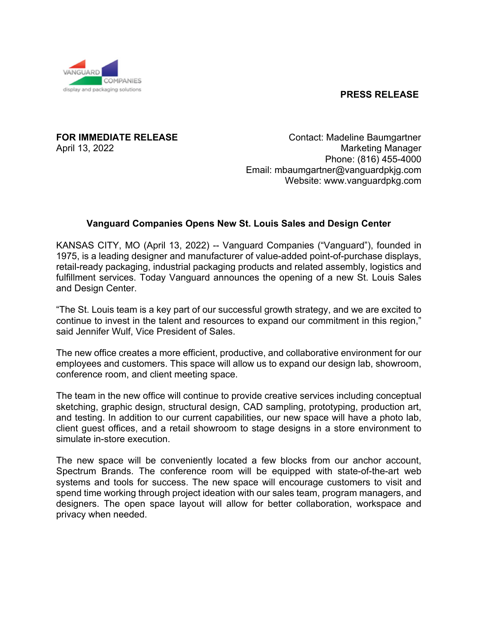## **PRESS RELEASE**



**FOR IMMEDIATE RELEASE Contact: Madeline Baumgartner** April 13, 2022 **Marketing Manager**  Phone: (816) 455-4000 Email: mbaumgartner@vanguardpkjg.com Website: www.vanguardpkg.com

## **Vanguard Companies Opens New St. Louis Sales and Design Center**

KANSAS CITY, MO (April 13, 2022) -- Vanguard Companies ("Vanguard"), founded in 1975, is a leading designer and manufacturer of value-added point-of-purchase displays, retail-ready packaging, industrial packaging products and related assembly, logistics and fulfillment services. Today Vanguard announces the opening of a new St. Louis Sales and Design Center.

"The St. Louis team is a key part of our successful growth strategy, and we are excited to continue to invest in the talent and resources to expand our commitment in this region," said Jennifer Wulf, Vice President of Sales.

The new office creates a more efficient, productive, and collaborative environment for our employees and customers. This space will allow us to expand our design lab, showroom, conference room, and client meeting space.

The team in the new office will continue to provide creative services including conceptual sketching, graphic design, structural design, CAD sampling, prototyping, production art, and testing. In addition to our current capabilities, our new space will have a photo lab, client guest offices, and a retail showroom to stage designs in a store environment to simulate in-store execution.

The new space will be conveniently located a few blocks from our anchor account, Spectrum Brands. The conference room will be equipped with state-of-the-art web systems and tools for success. The new space will encourage customers to visit and spend time working through project ideation with our sales team, program managers, and designers. The open space layout will allow for better collaboration, workspace and privacy when needed.